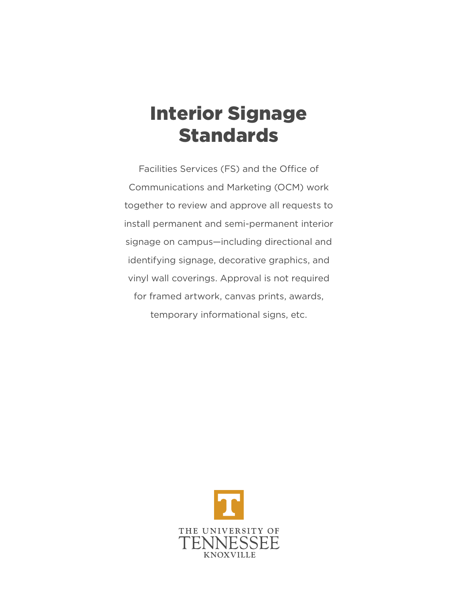# Interior Signage Standards

Facilities Services (FS) and the Office of Communications and Marketing (OCM) work together to review and approve all requests to install permanent and semi-permanent interior signage on campus—including directional and identifying signage, decorative graphics, and vinyl wall coverings. Approval is not required for framed artwork, canvas prints, awards, temporary informational signs, etc.

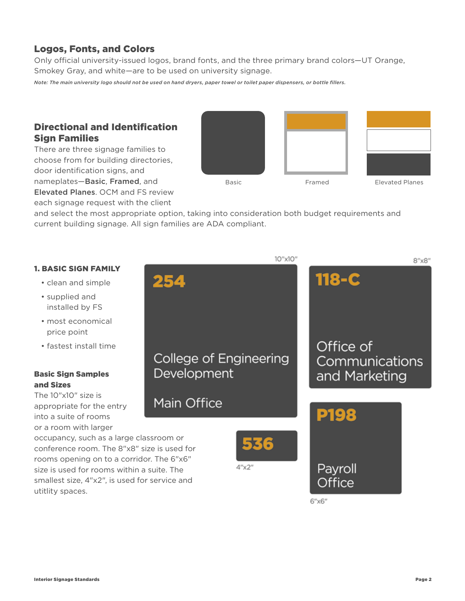# Logos, Fonts, and Colors

Only official university-issued logos, brand fonts, and the three primary brand colors—UT Orange, Smokey Gray, and white—are to be used on university signage.

*Note: The main university logo should not be used on hand dryers, paper towel or toilet paper dispensers, or bottle fillers.*

# Directional and Identification Sign Families

There are three signage families to choose from for building directories, door identification signs, and nameplates—Basic, Framed, and Elevated Planes. OCM and FS review each signage request with the client



and select the most appropriate option, taking into consideration both budget requirements and current building signage. All sign families are ADA compliant.

# 10"x10"  $8''x8''$ 118-C 254 Office of College of Engineering Communications Development and Marketing Main Office Dig occupancy, such as a large classroom or conference room. The 8"x8" size is used for rooms opening on to a corridor. The 6"x6"  $4''$   $\times$   $2''$ Payroll size is used for rooms within a suite. The smallest size, 4"x2", is used for service and utitlity spaces.  $6''$  $\times 6"$

### 1. BASIC SIGN FAMILY

- clean and simple
- supplied and installed by FS
- most economical price point
- fastest install time

### Basic Sign Samples and Sizes

The 10"x10" size is appropriate for the entry into a suite of rooms or a room with larger

Interior Signage Standards Page 2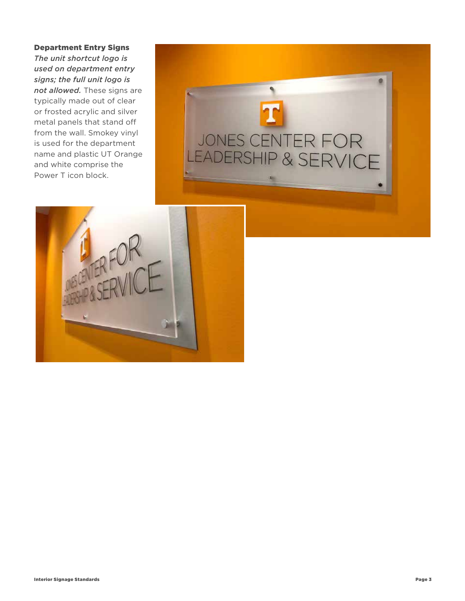#### Department Entry Signs

*The unit shortcut logo is used on department entry signs; the full unit logo is not allowed.* These signs are typically made out of clear or frosted acrylic and silver metal panels that stand off from the wall. Smokey vinyl is used for the department name and plastic UT Orange and white comprise the Power T icon block.



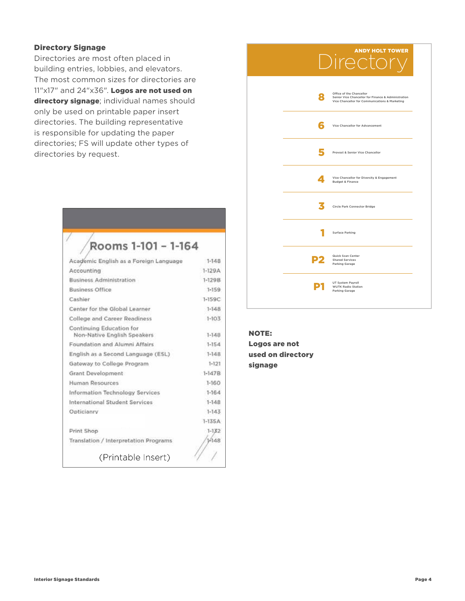#### Directory Signage

Directories are most often placed in building entries, lobbies, and elevators. The most common sizes for directories are 11"x17" and 24"x36". Logos are not used on directory signage; individual names should only be used on printable paper insert directories. The building representative is responsible for updating the paper directories; FS will update other types of directories by request.

# Rooms 1-101 - 1-164

| Academic English as a Foreign Language                  | $1 - 148$ |
|---------------------------------------------------------|-----------|
| Accounting                                              | $1-129A$  |
| <b>Business Administration</b>                          | $1-129B$  |
| <b>Business Office</b>                                  | $1 - 159$ |
| Cashier                                                 | 1-159C    |
| Center for the Global Learner                           | $1-148$   |
| <b>College and Career Readiness</b>                     | $1 - 103$ |
| Continuing Education for<br>Non-Native English Speakers | $1-148$   |
| Foundation and Alumni Affairs                           | $1-154$   |
| English as a Second Language (ESL)                      | $1-148$   |
| Gateway to College Program                              | $1 - 121$ |
| Grant Development                                       | $1-147B$  |
| Human Resources                                         | $1 - 160$ |
| Information Technology Services                         | $1 - 164$ |
| International Student Services                          | $1-148$   |
| Opticianry                                              | $1-143$   |
|                                                         | $1-135A$  |
| Print Shop                                              | $1 - 132$ |
| Translation / Interpretation Programs                   | 1448      |
| (Printable Insert)                                      |           |

|   | Director                                                                                                                          |
|---|-----------------------------------------------------------------------------------------------------------------------------------|
| 8 | Office of the Chancellor<br>Senior Vice Chancellor for Finance & Administration<br>Vice Chancellor for Communications & Marketing |
|   | Vice Chancellor for Advancement                                                                                                   |
|   | Provost & Senior Vice Chancellor                                                                                                  |
| Δ | Vice Chancellor for Diversity & Engagement<br><b>Budget &amp; Finance</b>                                                         |
|   | Circle Park Connector Bridge                                                                                                      |
|   | <b>Surface Parking</b>                                                                                                            |
|   | Quick Scan Center<br><b>Shared Services</b><br>Parking Garage                                                                     |
|   | UT System Payroll<br><b>WUTK Radio Station</b><br>Parking Garage                                                                  |
|   |                                                                                                                                   |

ANDY HOLT TOWER

NOTE: Logos are not used on directory signage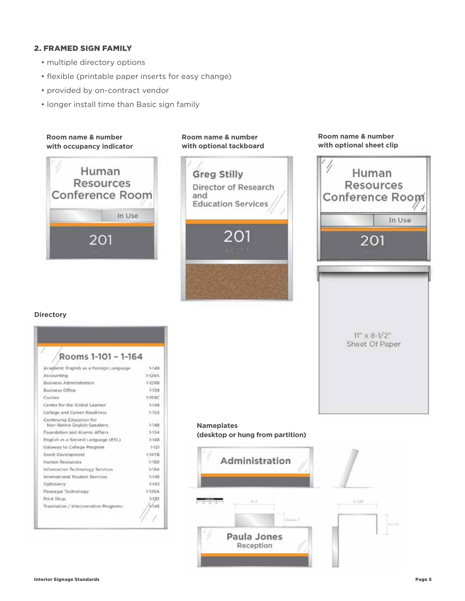#### 2. FRAMED SIGN FAMILY

- multiple directory options
- flexible (printable paper inserts for easy change)
- provided by on-contract vendor
- longer install time than Basic sign family



# **with optional tackboard Greg Stilly** Director of Research and **Education Services**

**Room name & number** 

#### **Room name & number with optional sheet clip**



#### **Directory**

| Rooms 1-101 - 1-164                                     |            |
|---------------------------------------------------------|------------|
| Academic English as a Foreign Language                  | $1 - 148$  |
| Accounting                                              | $1 - 129A$ |
| Business Administration                                 | $1 - 1298$ |
| Business Office                                         | $1-159$    |
| Cashier                                                 | 1-159C     |
| Center for the Global Learner                           | $1 - 148$  |
| College and Career Readiness                            | $1 - 103$  |
| Continuing Education for<br>Non-Native English Speakers | $1 - 148$  |
| Foundation and Alumni Affairs                           | $1 - 154$  |
| English as a Second Language (ESL)                      | $1 - 148$  |
| Gateway to College Program                              | $1 - 121$  |
| Grant Development                                       | $1-1479$   |
| Human Resources                                         | 1-160      |
| Information Technology Services                         | $1 - 164$  |
| International Student Services                          | $1 - 1.48$ |
| Opticianry.                                             | $1 - 143$  |
| Paralegal Technology                                    | $1-135A$   |
| Print Shop                                              | $1 - 132$  |
| Translation / Interpretation Programs                   | 1-148      |

#### **Nameplates (desktop or hung from partition)**

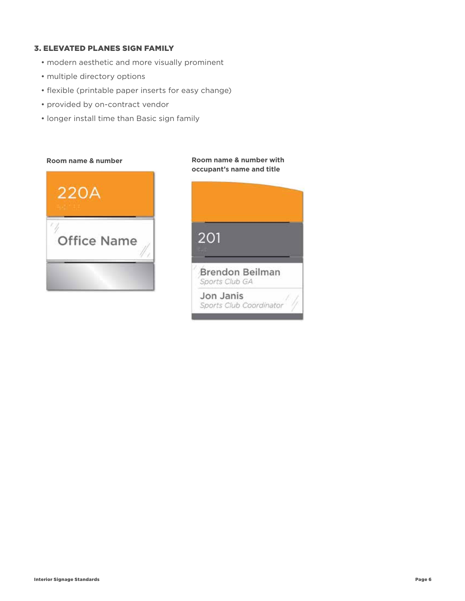#### 3. ELEVATED PLANES SIGN FAMILY

- modern aesthetic and more visually prominent
- multiple directory options
- flexible (printable paper inserts for easy change)
- provided by on-contract vendor
- longer install time than Basic sign family

#### **Room name & number Room name & number with**



# **occupant's name and title**201 Brendon Beilman Sports Club GA Jon Janis Sports Club Coordinator

#### Interior Signage Standards Page 6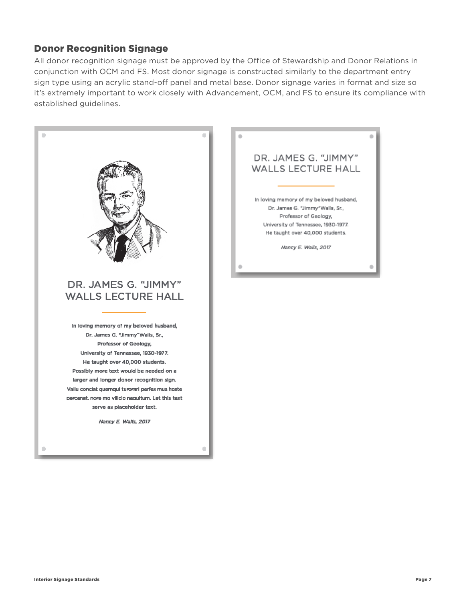# Donor Recognition Signage

All donor recognition signage must be approved by the Office of Stewardship and Donor Relations in conjunction with OCM and FS. Most donor signage is constructed similarly to the department entry sign type using an acrylic stand-off panel and metal base. Donor signage varies in format and size so it's extremely important to work closely with Advancement, OCM, and FS to ensure its compliance with established guidelines.